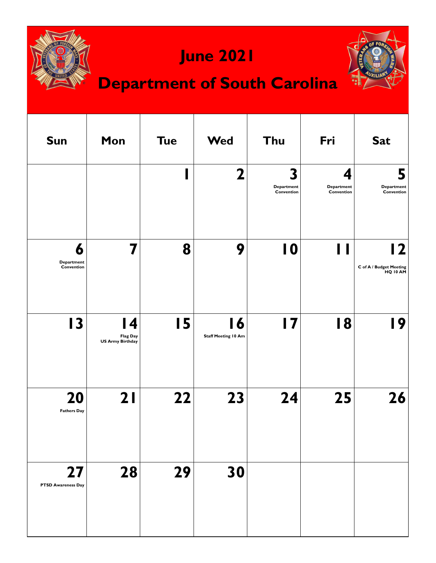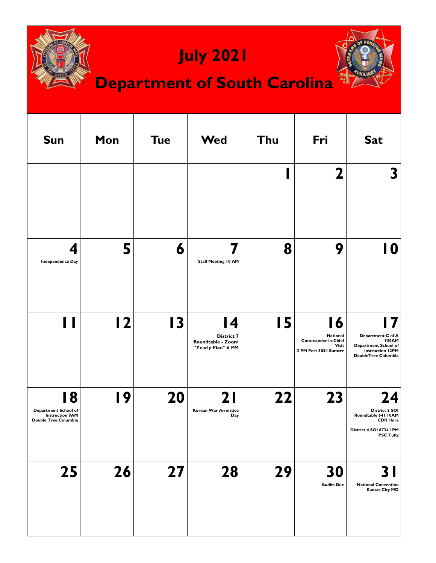| <b>July 2021</b><br><b>Department of South Carolina</b>                      |     |                 |                                                                           |     |                                                                                       |                                                                                                               |  |  |
|------------------------------------------------------------------------------|-----|-----------------|---------------------------------------------------------------------------|-----|---------------------------------------------------------------------------------------|---------------------------------------------------------------------------------------------------------------|--|--|
| <b>Sun</b>                                                                   | Mon | <b>Tue</b>      | Wed                                                                       | Thu | Fri                                                                                   | <b>Sat</b>                                                                                                    |  |  |
|                                                                              |     |                 |                                                                           |     | $\mathbf 2$                                                                           | 3                                                                                                             |  |  |
| 4<br><b>Independence Day</b>                                                 | 5   | 6               | 7<br><b>Staff Meeting 10 AM</b>                                           | 8   | 9                                                                                     | 10                                                                                                            |  |  |
|                                                                              | 12  | $\overline{13}$ | <b>14</b><br><b>District 7</b><br>Roundtable - Zoom<br>"Yearly Plan" 6 PM | 15  | l 6<br>National<br><b>Commander-in-Chief</b><br><b>Visit</b><br>2 PM Post 3034 Sumter | Department C of A<br>930AM<br>Department School of<br><b>Instruction 12PM</b><br>DoubleTree Columbia          |  |  |
| 18<br>Department School of<br><b>Instruction 9AM</b><br>Double Tree Columbia | 19  | 20              | 2 I<br>Korean War Armistice<br>Day                                        | 22  | 23                                                                                    | 24<br>District 2 SOI<br>Roundtable 641 10AM<br><b>CDR Hora</b><br>District 4 SOI 6734 IPM<br><b>PSC Tufts</b> |  |  |
| 25                                                                           | 26  | 27              | 28                                                                        | 29  | 30<br><b>Audits Due</b>                                                               | 3 I<br><b>National Convention</b><br><b>Kansas City MO</b>                                                    |  |  |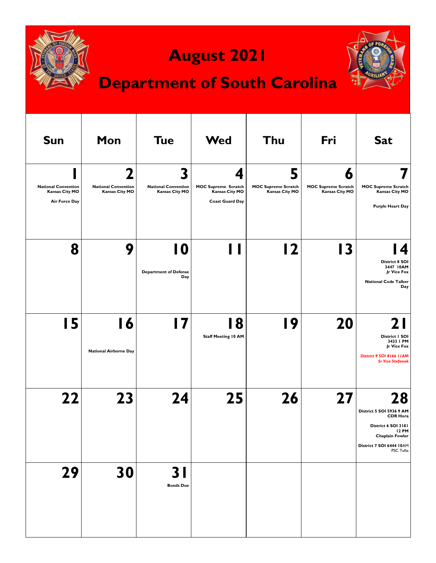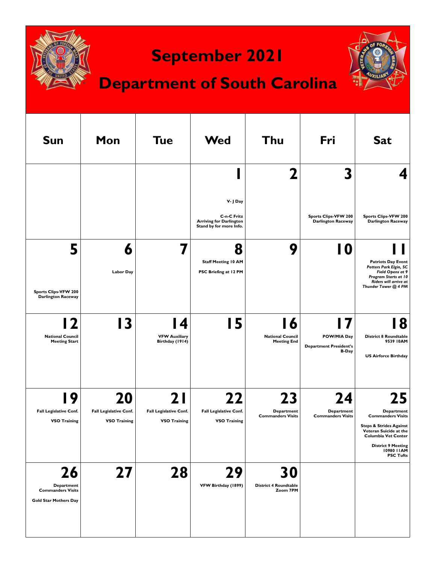

### **September 2021**

## **Department of South Carolina**



| <b>Sun</b>                                                                          | Mon                                                 | <b>Tue</b>                                           | <b>Wed</b>                                                               | Thu                                                 | Fri                                                          | <b>Sat</b>                                                                                                                                                                                                        |
|-------------------------------------------------------------------------------------|-----------------------------------------------------|------------------------------------------------------|--------------------------------------------------------------------------|-----------------------------------------------------|--------------------------------------------------------------|-------------------------------------------------------------------------------------------------------------------------------------------------------------------------------------------------------------------|
|                                                                                     |                                                     |                                                      | V- J Day                                                                 | 2                                                   | 3                                                            | 4                                                                                                                                                                                                                 |
|                                                                                     |                                                     |                                                      | C-n-C Fritz<br><b>Arriving for Darlington</b><br>Stand by for more Info. |                                                     | Sports Clips-VFW 200<br><b>Darlington Raceway</b>            | Sports Clips-VFW 200<br><b>Darlington Raceway</b>                                                                                                                                                                 |
| 5<br>Sports Clips-VFW 200<br><b>Darlington Raceway</b>                              | 6<br><b>Labor Day</b>                               |                                                      | 8<br><b>Staff Meeting 10 AM</b><br>PSC Briefing at 12 PM                 | 9                                                   | 10                                                           | <b>Patriots Day Event</b><br>Potters Park Elgin, SC<br>Field Opens at 9<br>Program Starts at 10<br>Riders will arrive at<br>Thunder Tower @ 4 PM                                                                  |
| 7<br><b>National Council</b><br><b>Meeting Start</b>                                | 13                                                  | l 4<br><b>VFW Auxiliary</b><br>Birthday (1914)       | 15                                                                       | 16<br><b>National Council</b><br><b>Meeting End</b> | POW/MIA Day<br><b>Department President's</b><br><b>B-Day</b> | 8<br><b>District 8 Roundtable</b><br>9539 IOAM<br><b>US Airforce Birthday</b>                                                                                                                                     |
| 9<br><b>Fall Legislative Conf.</b><br><b>VSO Training</b>                           | 20<br>Fall Legislative Conf.<br><b>VSO Training</b> | 2 I<br>Fall Legislative Conf.<br><b>VSO Training</b> | <b>Fall Legislative Conf.</b><br><b>VSO Training</b>                     | 23<br><b>Department</b><br><b>Commanders Visits</b> | 24<br>Department<br><b>Commanders Visits</b>                 | 25<br><b>Department</b><br><b>Commanders Visits</b><br><b>Steps &amp; Strides Against</b><br>Veteran Suicide at the<br><b>Columbia Vet Center</b><br><b>District 9 Meeting</b><br>10980 I IAM<br><b>PSC Tufts</b> |
| 26<br><b>Department</b><br><b>Commanders Visits</b><br><b>Gold Star Mothers Day</b> | 27                                                  | 28                                                   | 29<br>VFW Birthday (1899)                                                | 30<br><b>District 4 Roundtable</b><br>Zoom 7PM      |                                                              |                                                                                                                                                                                                                   |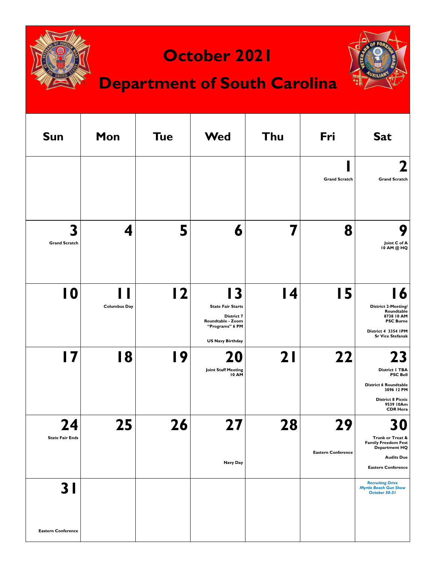



| <b>Sun</b>                       | Mon                 | <b>Tue</b> | <b>Wed</b>                                                                                                                       | Thu | Fri                             | <b>Sat</b>                                                                                                                                        |
|----------------------------------|---------------------|------------|----------------------------------------------------------------------------------------------------------------------------------|-----|---------------------------------|---------------------------------------------------------------------------------------------------------------------------------------------------|
|                                  |                     |            |                                                                                                                                  |     | <b>Grand Scratch</b>            | 2<br><b>Grand Scratch</b>                                                                                                                         |
| 3<br><b>Grand Scratch</b>        | 4                   | 5          | 6                                                                                                                                | 7   | 8                               | 9<br>Joint C of A<br>10 AM @ HQ                                                                                                                   |
| $\overline{10}$                  | <b>Columbus Day</b> | 12         | $\mathbf{3}$<br><b>State Fair Starts</b><br><b>District 7</b><br>Roundtable - Zoom<br>"Programs" 6 PM<br><b>US Navy Birthday</b> | 4   | 15                              | 16<br><b>District 2-Meeting/</b><br>Roundtable<br>8738 10 AM<br><b>PSC Burne</b><br>District 4 3354 IPM<br><b>Sr Vice Stefanak</b>                |
| $\overline{17}$                  | 18                  | 19         | 20<br><b>Joint Staff Meeting</b><br><b>10 AM</b>                                                                                 | 21  | 22                              | 23<br>District   TBA<br><b>PSC Bell</b><br><b>District 6 Roundtable</b><br>3096 12 PM<br><b>District 8 Picnic</b><br>9539 10Am<br><b>CDR Hora</b> |
| 24<br><b>State Fair Ends</b>     | 25                  | 26         | 7<br>Navy Day                                                                                                                    | 28  | 29<br><b>Eastern Conference</b> | <b>30</b><br>Trunk or Treat &<br><b>Family Freedom Fest</b><br>Department HQ<br><b>Audits Due</b><br><b>Eastern Conference</b>                    |
| 3 I<br><b>Eastern Conference</b> |                     |            |                                                                                                                                  |     |                                 | <b>Recruiting Drive</b><br><b>Myrtle Beach Gun Show</b><br>October 30-31                                                                          |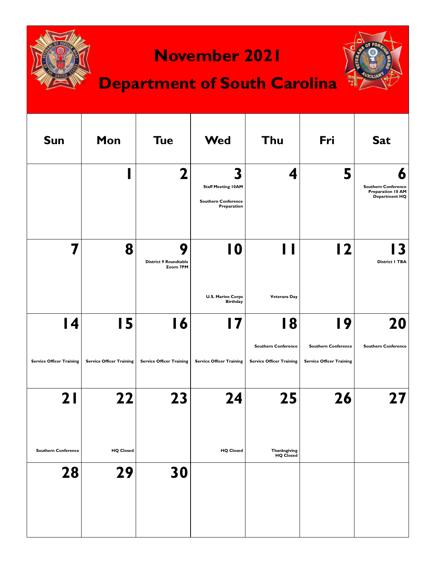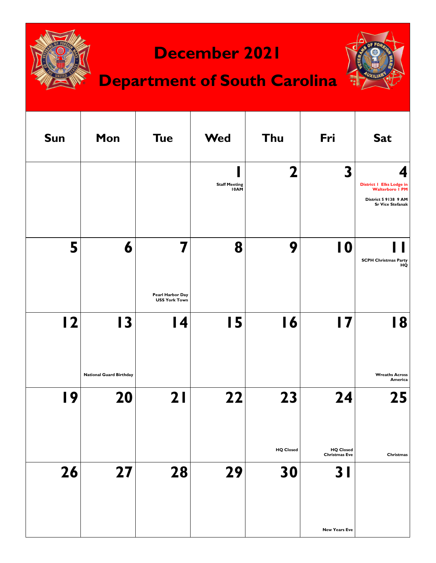

#### **December 2021**

# **Department of South Carolina**



| <b>Sun</b> | Mon                                  | <b>Tue</b>                                    | <b>Wed</b>                   | Thu                    | Fri                                                        | <b>Sat</b>                                                                                                        |
|------------|--------------------------------------|-----------------------------------------------|------------------------------|------------------------|------------------------------------------------------------|-------------------------------------------------------------------------------------------------------------------|
|            |                                      |                                               | <b>Staff Meeting</b><br>10AM | 2                      | 3                                                          | 4<br><b>District   Elks Lodge in</b><br><b>Walterboro I PM</b><br>District 5 9138 9 AM<br><b>Sr Vice Stefanak</b> |
| 5          | 6                                    | 7<br>Pearl Harbor Day<br><b>USS York Town</b> | 8                            | 9                      | 10                                                         | SCPH Christmas Party<br>HQ                                                                                        |
| 2          | 13                                   | 14                                            | <b>I5</b>                    | 16                     | 17                                                         | 18                                                                                                                |
| 19         | <b>National Guard Birthday</b><br>20 | 21                                            | 22                           | 23                     | 24                                                         | <b>Wreaths Across</b><br>America<br>25                                                                            |
| 26         | 27                                   | 28                                            | 29                           | <b>HQ Closed</b><br>30 | <b>HQ Closed</b><br><b>Christmas Eve</b><br>3 <sub>l</sub> | Christmas                                                                                                         |
|            |                                      |                                               |                              |                        | <b>New Years Eve</b>                                       |                                                                                                                   |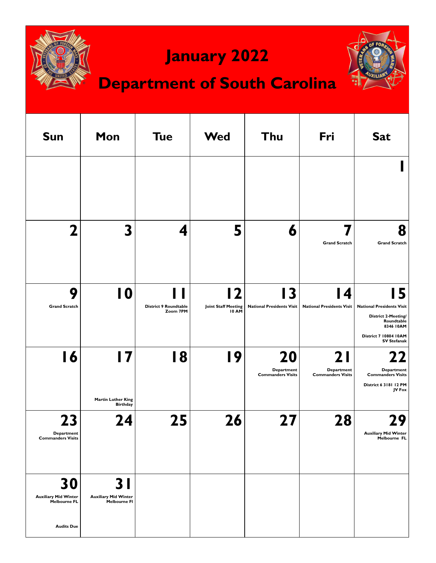

## **January 2022**

## **Department of South Carolina**



| <b>Sun</b>                                                                    | Mon                                                       | <b>Tue</b>                               | <b>Wed</b>                                                            | Thu                                          | Fri                                           | <b>Sat</b>                                                                                                                                     |
|-------------------------------------------------------------------------------|-----------------------------------------------------------|------------------------------------------|-----------------------------------------------------------------------|----------------------------------------------|-----------------------------------------------|------------------------------------------------------------------------------------------------------------------------------------------------|
|                                                                               |                                                           |                                          |                                                                       |                                              |                                               |                                                                                                                                                |
| 7                                                                             | 3                                                         | 4                                        | 5                                                                     | 6                                            | <b>Grand Scratch</b>                          | 8<br><b>Grand Scratch</b>                                                                                                                      |
| 9<br><b>Grand Scratch</b>                                                     | 10                                                        | <b>District 9 Roundtable</b><br>Zoom 7PM | $\overline{\mathbf{2}}$<br><b>Joint Staff Meeting</b><br><b>10 AM</b> | 13<br><b>National Presidents Visit</b>       | l 4<br><b>National Presidents Visit</b>       | 15<br><b>National Presidents Visit</b><br><b>District 2-Meeting/</b><br>Roundtable<br>8346 IOAM<br>District 7 10804 10AM<br><b>SV Stefanak</b> |
| 16                                                                            | 17<br><b>Martin Luther King</b><br><b>Birthday</b>        | 18                                       | 19                                                                    | 20<br>Department<br><b>Commanders Visits</b> | 2 I<br>Department<br><b>Commanders Visits</b> | 22<br>Department<br><b>Commanders Visits</b><br>District 6 3181 12 PM<br>JV Fox                                                                |
| 23<br>Department<br><b>Commanders Visits</b>                                  | 24                                                        | 25                                       | 26                                                                    | 27                                           | 28                                            | 29<br><b>Auxiliary Mid Winter</b><br>Melbourne FL                                                                                              |
| 30<br><b>Auxiliary Mid Winter</b><br><b>Melbourne FL</b><br><b>Audits Due</b> | 3 I<br><b>Auxiliary Mid Winter</b><br><b>Melbourne FI</b> |                                          |                                                                       |                                              |                                               |                                                                                                                                                |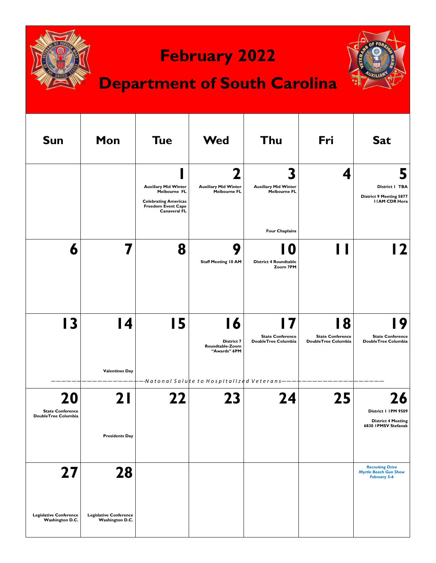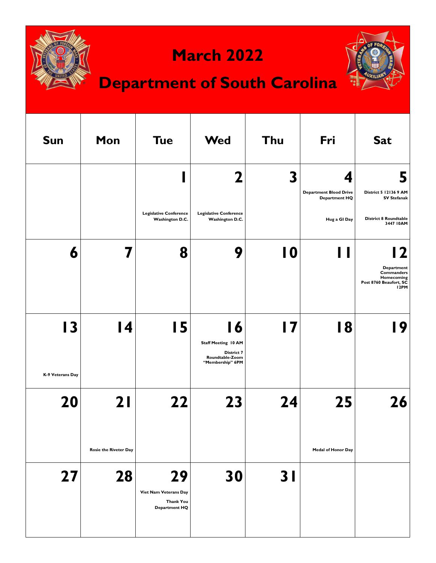

#### **March 2022**





| <b>Sun</b>             | Mon                          | <b>Tue</b>                                                       | <b>Wed</b>                                                                            | Thu             | Fri                                                        | <b>Sat</b>                                                                                 |
|------------------------|------------------------------|------------------------------------------------------------------|---------------------------------------------------------------------------------------|-----------------|------------------------------------------------------------|--------------------------------------------------------------------------------------------|
|                        |                              |                                                                  | $\overline{\mathbf{z}}$                                                               | 3               | 4<br><b>Department Blood Drive</b><br><b>Department HQ</b> | 5<br>District 5 12136 9 AM<br><b>SV Stefanak</b>                                           |
|                        |                              | <b>Legislative Conference</b><br>Washington D.C.                 | <b>Legislative Conference</b><br>Washington D.C.                                      |                 | Hug a GI Day                                               | <b>District 8 Roundtable</b><br>3447 IOAM                                                  |
| 6                      |                              | 8                                                                | 9                                                                                     | $\overline{10}$ | Ш                                                          | 12<br>Department<br>Commanders<br>Homecoming<br>Post 8760 Beaufort, SC<br>I <sub>2PM</sub> |
| 13<br>K-9 Veterans Day | 14                           | 15                                                               | 16<br><b>Staff Meeting 10 AM</b><br>District 7<br>Roundtable-Zoom<br>"Membership" 6PM | 17              | 18                                                         | 19                                                                                         |
| 20                     | 21                           | 22                                                               | 23                                                                                    | 24              | 25                                                         | 26                                                                                         |
|                        | <b>Rosie the Riveter Day</b> |                                                                  |                                                                                       |                 | Medal of Honor Day                                         |                                                                                            |
| 27                     | 28                           | 29<br>Viet Nam Veterans Day<br><b>Thank You</b><br>Department HQ | 30                                                                                    | 3 <sub>l</sub>  |                                                            |                                                                                            |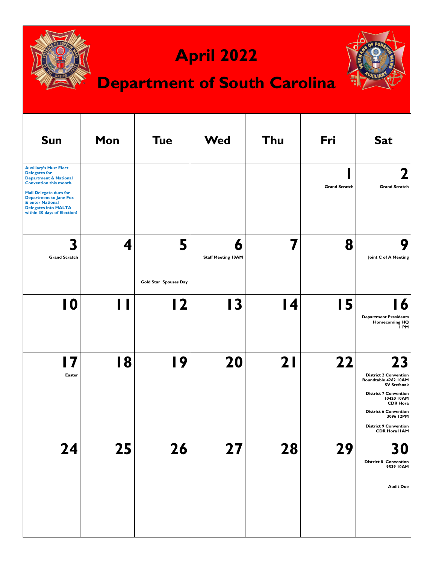| <b>April 2022</b><br><b>Department of South Carolina</b>                                                                                                                                                                                                                       |     |                            |                                |           |                      |                                                                                                                                                                                                                                                        |  |  |
|--------------------------------------------------------------------------------------------------------------------------------------------------------------------------------------------------------------------------------------------------------------------------------|-----|----------------------------|--------------------------------|-----------|----------------------|--------------------------------------------------------------------------------------------------------------------------------------------------------------------------------------------------------------------------------------------------------|--|--|
| <b>Sun</b>                                                                                                                                                                                                                                                                     | Mon | <b>Tue</b>                 | <b>Wed</b>                     | Thu       | Fri                  | <b>Sat</b>                                                                                                                                                                                                                                             |  |  |
| <b>Auxiliary's Must Elect</b><br><b>Delegates for</b><br><b>Department &amp; National</b><br><b>Convention this month.</b><br><b>Mail Delegate dues for</b><br><b>Department to Jane Fox</b><br>& enter National<br><b>Delegates into MALTA</b><br>within 30 days of Election! |     |                            |                                |           | <b>Grand Scratch</b> | <b>Grand Scratch</b>                                                                                                                                                                                                                                   |  |  |
| <b>Grand Scratch</b>                                                                                                                                                                                                                                                           | 4   | 5<br>Gold Star Spouses Day | 6<br><b>Staff Meeting IOAM</b> | 7         | 8                    | Joint C of A Meeting                                                                                                                                                                                                                                   |  |  |
| 10                                                                                                                                                                                                                                                                             |     | $\overline{2}$             | 13                             | <b>14</b> | 15                   | <b>Department Presidents</b><br><b>Homecoming HQ</b><br>I PM                                                                                                                                                                                           |  |  |
| I 7<br>Easter                                                                                                                                                                                                                                                                  | 18  | 19                         | 20                             | 21        | 22                   | 23<br><b>District 2 Convention</b><br>Roundtable 4262 IOAM<br><b>SV Stefanak</b><br><b>District 7 Convention</b><br>10420 10AM<br><b>CDR Hora</b><br><b>District 6 Convention</b><br>3096 12PM<br><b>District 9 Convention</b><br><b>CDR Horal IAM</b> |  |  |
| 24                                                                                                                                                                                                                                                                             | 25  | 26                         | 27                             | 28        | 29                   | 30<br><b>District 8 Convention</b><br>9539 IOAM<br><b>Audit Due</b>                                                                                                                                                                                    |  |  |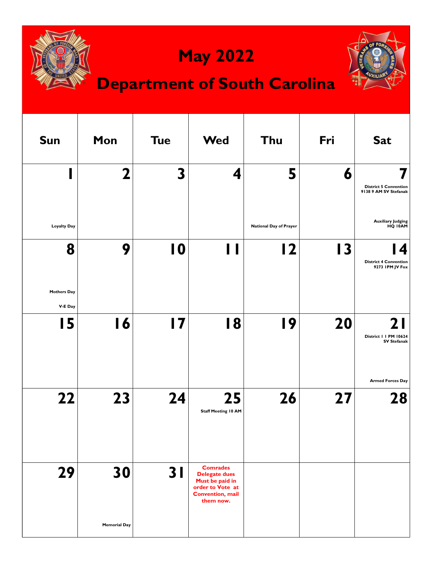

**Convention, mail them now.**

**Memorial Day**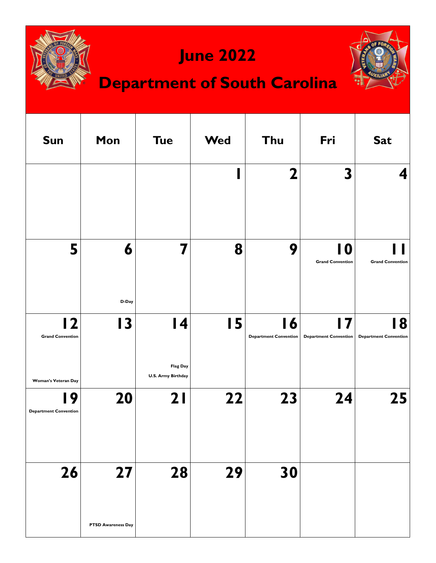

#### **June 2022**





| <b>Sun</b>                                                | Mon                       | <b>Tue</b>                                               | <b>Wed</b> | Thu                                             | Fri                           | <b>Sat</b>                        |
|-----------------------------------------------------------|---------------------------|----------------------------------------------------------|------------|-------------------------------------------------|-------------------------------|-----------------------------------|
|                                                           |                           |                                                          |            | $\mathbf 2$                                     | $\overline{\mathbf{3}}$       | 4                                 |
| 5                                                         | 6<br>D-Day                | 7                                                        | 8          | 9                                               | 10<br><b>Grand Convention</b> | <b>Grand Convention</b>           |
| 12<br><b>Grand Convention</b>                             | $\overline{13}$           | $\overline{14}$<br>Flag Day<br><b>U.S. Army Birthday</b> | 15         | $\overline{16}$<br><b>Department Convention</b> | 17<br>Department Convention   | 8<br><b>Department Convention</b> |
| Woman's Veteran Day<br>19<br><b>Department Convention</b> | 20                        | 21                                                       | 22         | 23                                              | 24                            | 25                                |
| 26                                                        | 27                        | 28                                                       | 29         | 30                                              |                               |                                   |
|                                                           | <b>PTSD Awareness Day</b> |                                                          |            |                                                 |                               |                                   |